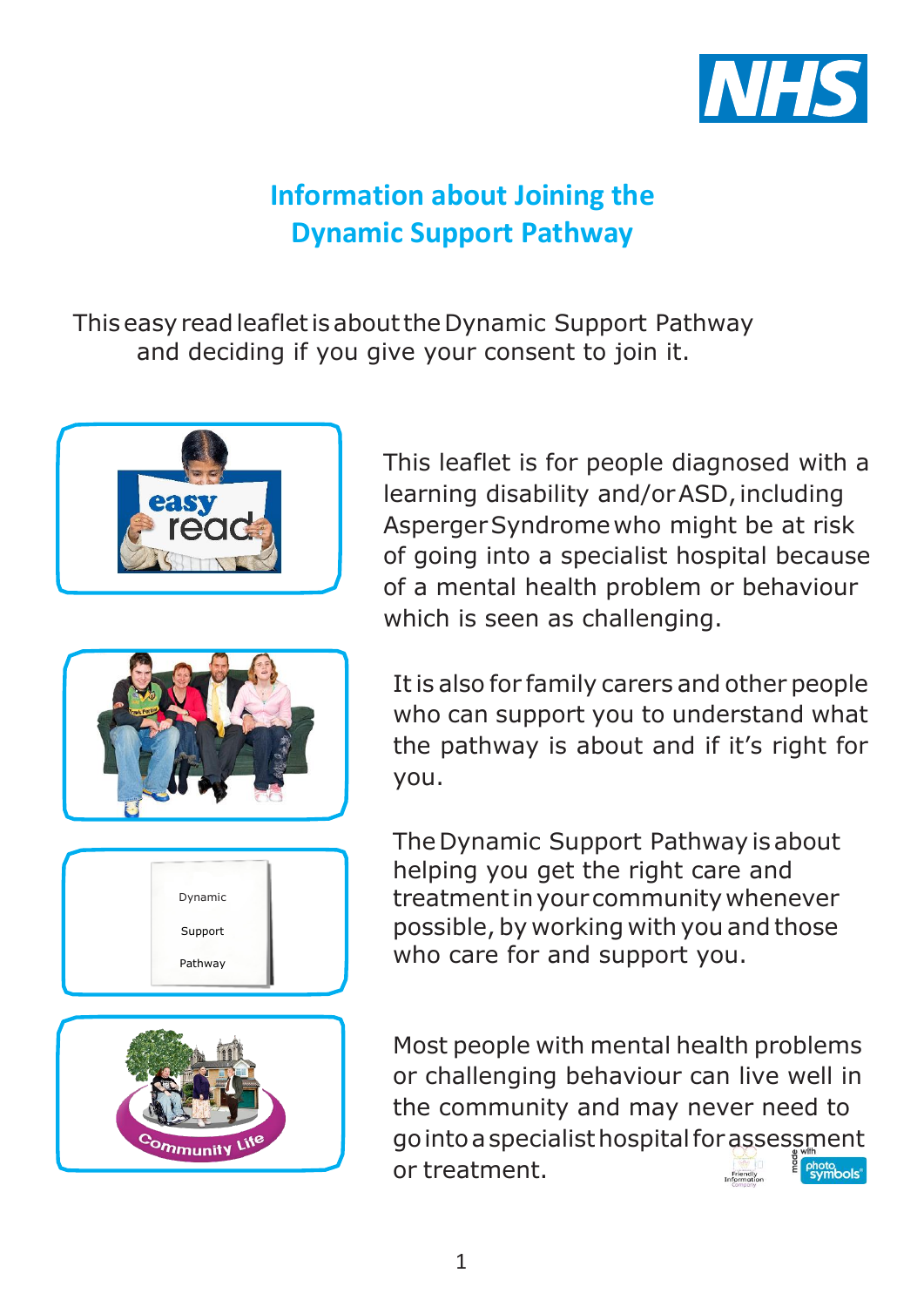

# **Information about Joining the Dynamic Support Pathway**

ThiseasyreadleafletisabouttheDynamic Support Pathway and deciding if you give your consent to join it.



This leaflet is for people diagnosed with a learning disability and/orASD, including AspergerSyndromewho might be at risk of going into a specialist hospital because of a mental health problem or behaviour which is seen as challenging.







It is also for family carers and other people who can support you to understand what the pathway is about and if it's right for you.

The Dynamic Support Pathway is about helping you get the right care and treatmentinyourcommunitywhenever possible, by working with you and those who care for and support you.

Most people with mental health problems or challenging behaviour can live well in the community and may never need to gointoaspecialisthospitalforassessment or treatment. photo<br>symbols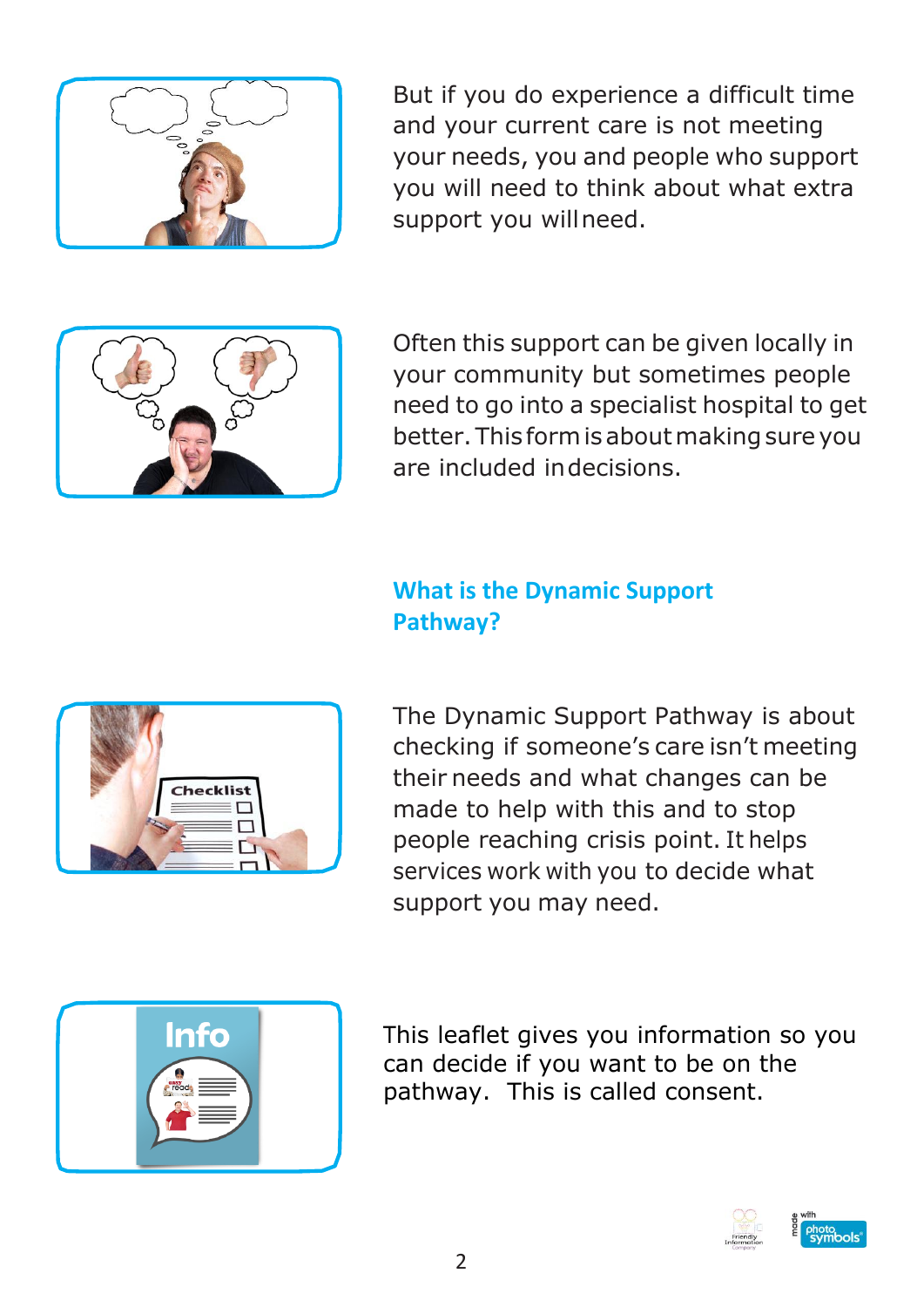

But if you do experience a difficult time and your current care is not meeting your needs, you and people who support you will need to think about what extra support you willneed.



Often this support can be given locally in your community but sometimes people need to go into a specialist hospital to get better. This form is about making sure you are included indecisions.

#### **What is the Dynamic Support Pathway?**



The Dynamic Support Pathway is about checking if someone's care isn't meeting their needs and what changes can be made to help with this and to stop people reaching crisis point. It helps services work with you to decide what support you may need.



This leaflet gives you information so you can decide if you want to be on the pathway. This is called consent.

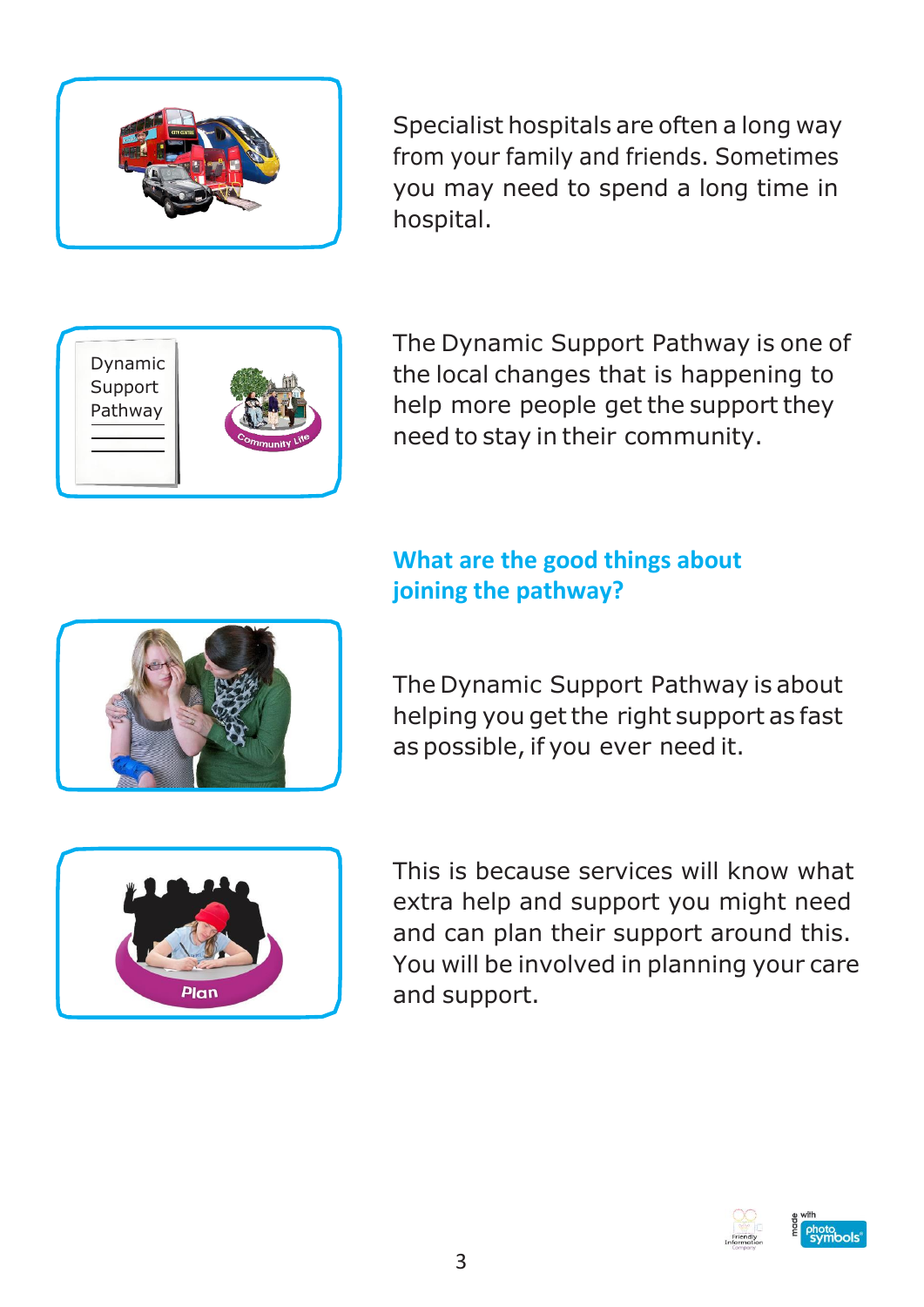

Specialist hospitals are often a long way from your family and friends. Sometimes you may need to spend a long time in hospital.



The Dynamic Support Pathway is one of the local changes that is happening to help more people get the support they need to stay in their community.

### **What are the good things about joining the pathway?**



The Dynamic Support Pathway is about helping you get the right support as fast as possible, if you ever need it.



This is because services will know what extra help and support you might need and can plan their support around this. You will be involved in planning your care and support.

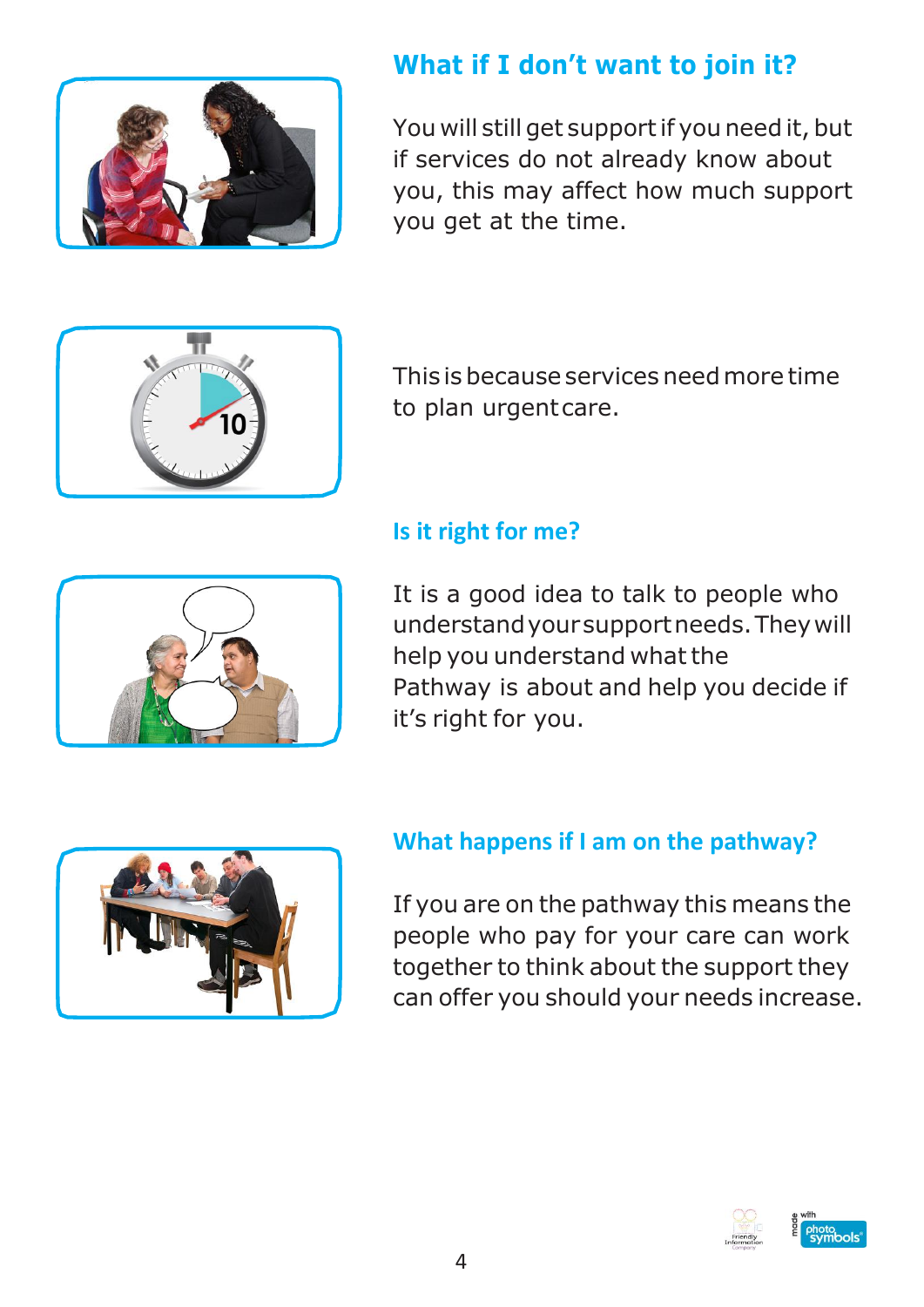

## **What if I don't want to join it?**

You will still get support if you need it, but if services do not already know about you, this may affect how much support you get at the time.



This is because services needmore time to plan urgentcare.

### **Is it right for me?**

It is a good idea to talk to people who understandyoursupportneeds.Theywill help you understand what the Pathway is about and help you decide if it's right for you.



### **What happens if I am on the pathway?**

If you are on the pathway this means the people who pay for your care can work together to think about the support they can offer you should your needs increase.

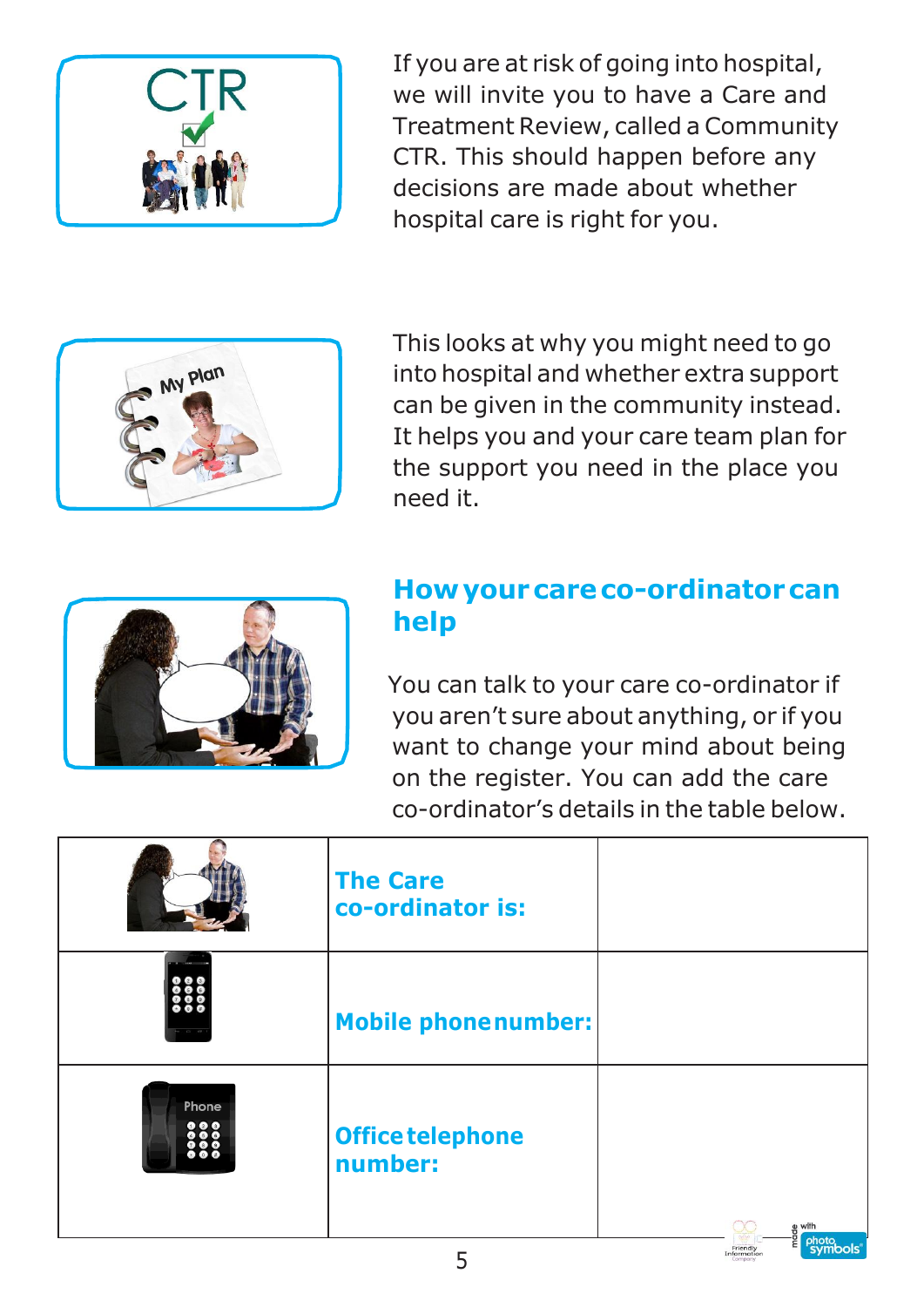

If you are at risk of going into hospital, we will invite you to have a Care and Treatment Review, called a Community CTR. This should happen before any decisions are made about whether hospital care is right for you.



This looks at why you might need to go into hospital and whether extra support can be given in the community instead. It helps you and your care team plan for the support you need in the place you need it.



## **Howyourcareco-ordinatorcan help**

You can talk to your care co-ordinator if you aren't sure about anything, or if you want to change your mind about being on the register. You can add the care co-ordinator's details in the table below.

|       | <b>The Care</b><br>co-ordinator is: |                                    |
|-------|-------------------------------------|------------------------------------|
|       | <b>Mobile phonenumber:</b>          |                                    |
| Phone | Office telephone<br>number:         | e with<br>P <sub>2</sub><br>photo, |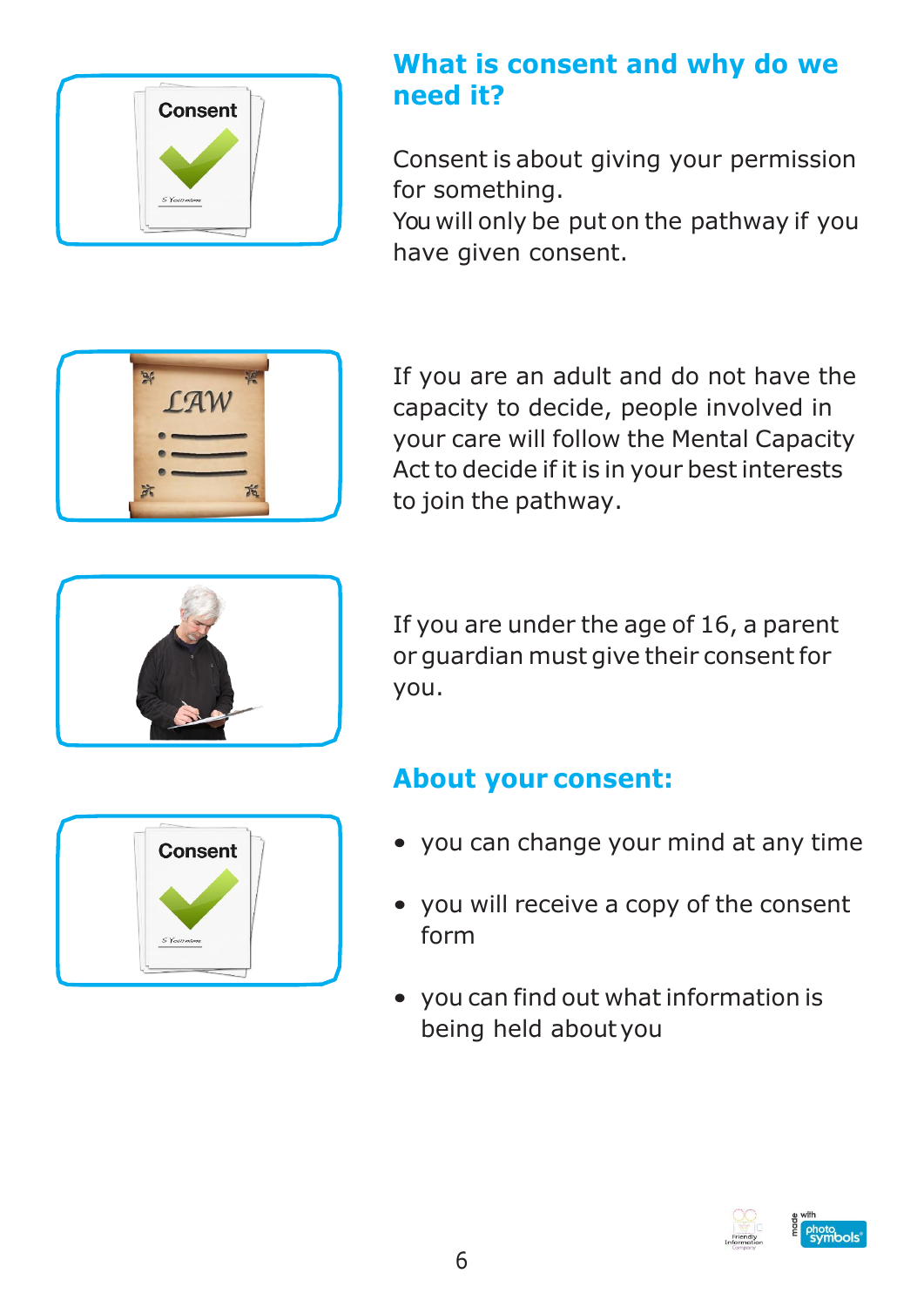

## **What is consent and why do we need it?**

Consent is about giving your permission for something.

You will only be put on the pathway if you have given consent.



If you are an adult and do not have the capacity to decide, people involved in your care will follow the Mental Capacity Act to decide if it is in your best interests to join the pathway.



If you are under the age of 16, a parent or guardian must give their consent for you.

# **About your consent:**

- you can change your mind at any time
- you will receive a copy of the consent form
- you can find out what information is being held aboutyou



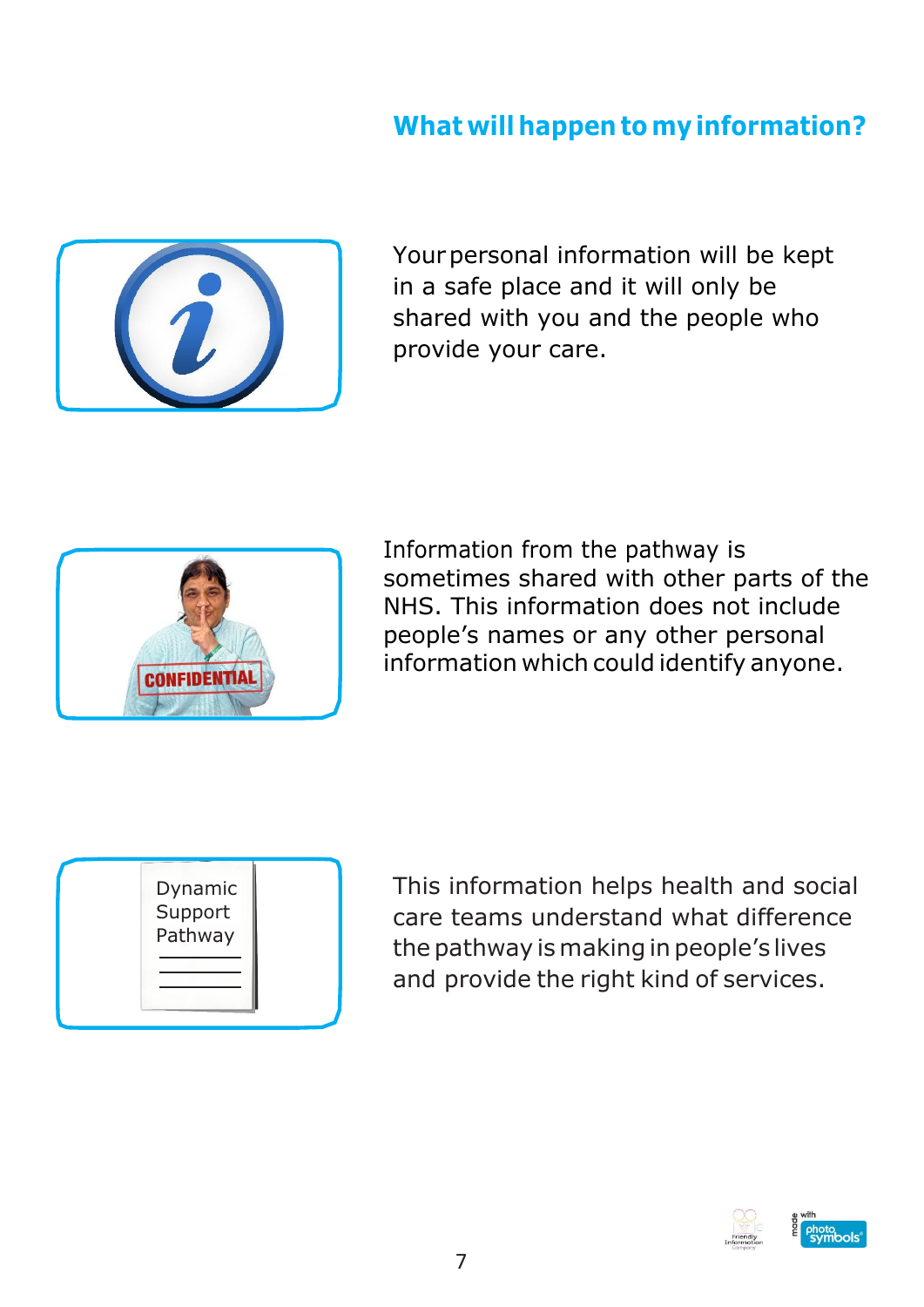## **What will happen to my information?**



Your personal information will be kept in a safe place and it will only be shared with you and the people who provide your care.



Information from the pathway is sometimes shared with other parts of the NHS. This information does not include people's names or any other personal information which could identify anyone.



This information helps health and social care teams understand what difference the pathway is making in people's lives and provide the right kind of services.

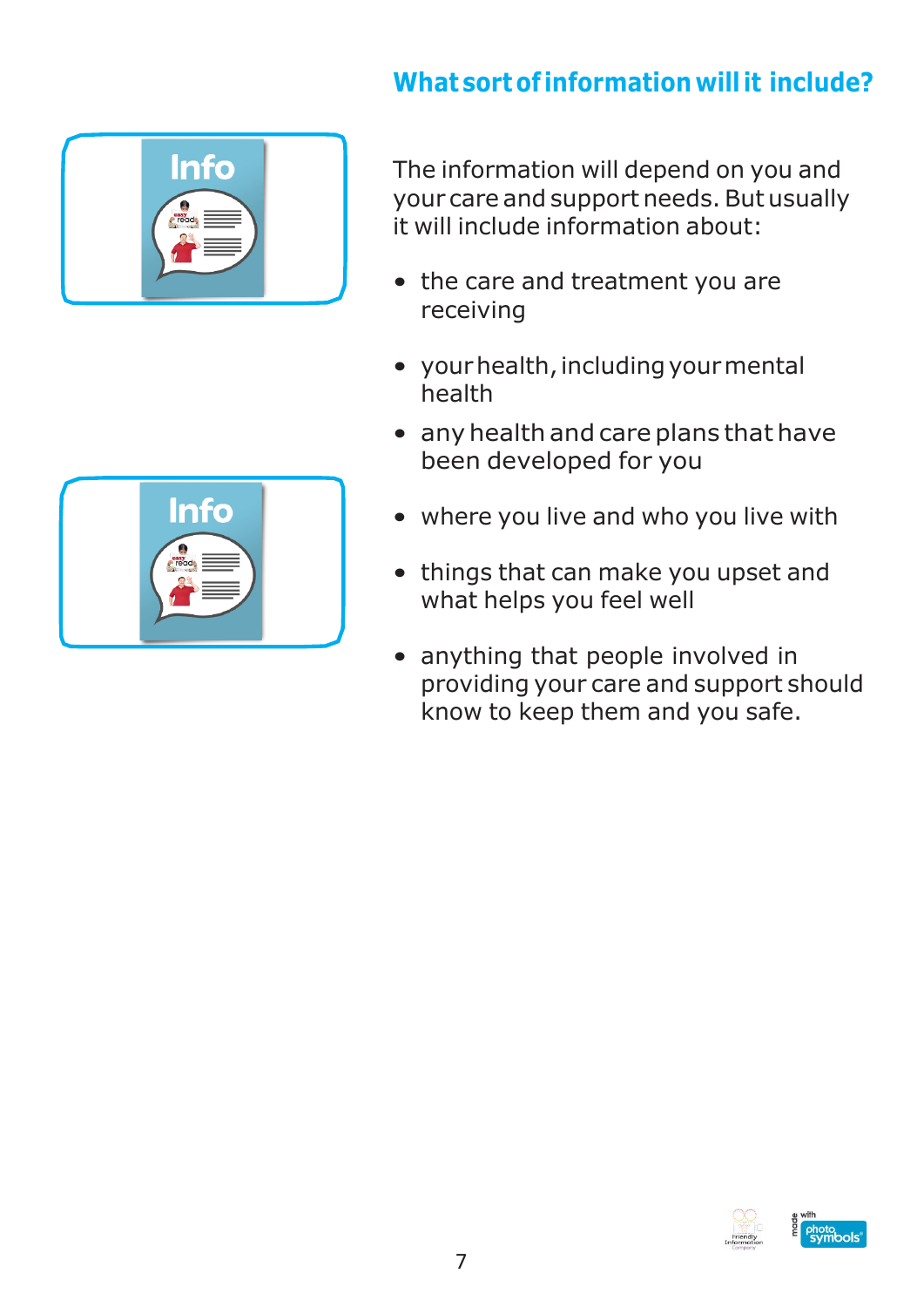# **What sortof information willit include?**



The information will depend on you and your care and support needs. But usually it will include information about:

- the care and treatment you are receiving
- your health, including your mental health
- any health and care plans that have been developed for you
- where you live and who you live with
- things that can make you upset and what helps you feel well
- anything that people involved in providing your care and support should know to keep them and you safe.